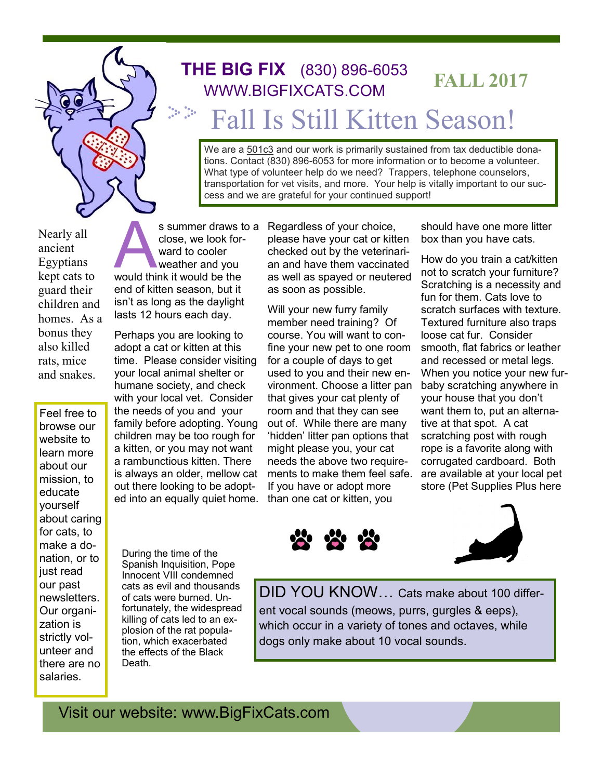

## Fall Is Still Kitten Season! **FALL 2017 THE BIG FIX** (830) 896-<sup>6053</sup> WWW.BIGFIXCATS.COM

We are a 501c3 and our work is primarily sustained from tax deductible donations. Contact (830) 896-6053 for more information or to become a volunteer. What type of volunteer help do we need? Trappers, telephone counselors, transportation for vet visits, and more. Your help is vitally important to our success and we are grateful for your continued support!

Nearly all ancient Egyptians kept cats to guard their children and homes. As a bonus they also killed rats, mice and snakes.

Feel free to browse our website to learn more about our mission, to educate yourself about caring for cats, to make a donation, or to just read our past newsletters. Our organization is strictly volunteer and there are no salaries.

s summer draws t<br>close, we look for-<br>ward to cooler<br>weather and you<br>would think it would be the close, we look forward to cooler weather and you end of kitten season, but it isn't as long as the daylight lasts 12 hours each day.

Perhaps you are looking to adopt a cat or kitten at this time. Please consider visiting your local animal shelter or humane society, and check with your local vet. Consider the needs of you and your family before adopting. Young children may be too rough for a kitten, or you may not want a rambunctious kitten. There is always an older, mellow cat out there looking to be adopted into an equally quiet home.

During the time of the Spanish Inquisition, Pope Innocent VIII condemned cats as evil and thousands of cats were burned. Unfortunately, the widespread killing of cats led to an explosion of the rat population, which exacerbated the effects of the Black Death.

s summer draws to a Regardless of your choice, please have your cat or kitten checked out by the veterinarian and have them vaccinated as well as spayed or neutered as soon as possible.

> Will your new furry family member need training? Of course. You will want to confine your new pet to one room for a couple of days to get used to you and their new environment. Choose a litter pan that gives your cat plenty of room and that they can see out of. While there are many 'hidden' litter pan options that might please you, your cat needs the above two requirements to make them feel safe. If you have or adopt more than one cat or kitten, you

should have one more litter box than you have cats.

How do you train a cat/kitten not to scratch your furniture? Scratching is a necessity and fun for them. Cats love to scratch surfaces with texture. Textured furniture also traps loose cat fur. Consider smooth, flat fabrics or leather and recessed or metal legs. When you notice your new furbaby scratching anywhere in your house that you don't want them to, put an alternative at that spot. A cat scratching post with rough rope is a favorite along with corrugated cardboard. Both are available at your local pet store (Pet Supplies Plus here





DID YOU KNOW… Cats make about 100 different vocal sounds (meows, purrs, gurgles & eeps), which occur in a variety of tones and octaves, while dogs only make about 10 vocal sounds.

Visit our website: www.BigFixCats.com